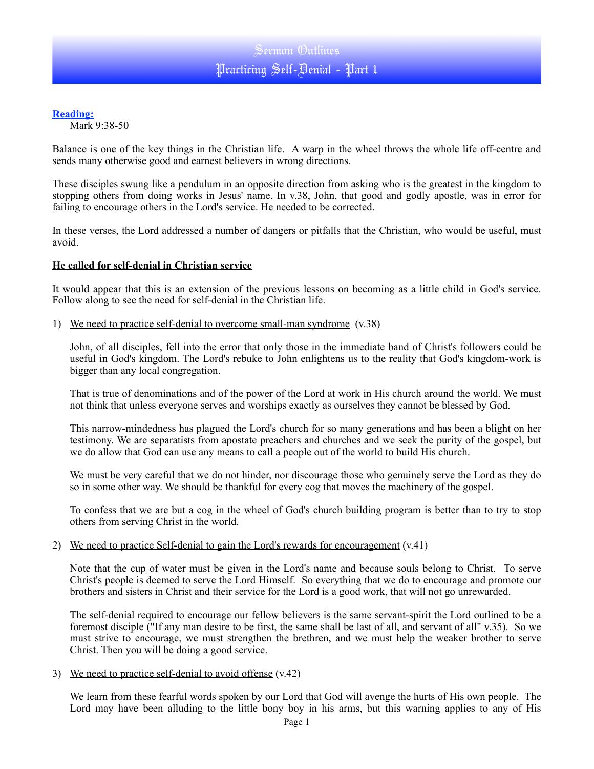## **Reading:**

Mark 9:38-50

Balance is one of the key things in the Christian life. A warp in the wheel throws the whole life off-centre and sends many otherwise good and earnest believers in wrong directions.

These disciples swung like a pendulum in an opposite direction from asking who is the greatest in the kingdom to stopping others from doing works in Jesus' name. In v.38, John, that good and godly apostle, was in error for failing to encourage others in the Lord's service. He needed to be corrected.

In these verses, the Lord addressed a number of dangers or pitfalls that the Christian, who would be useful, must avoid.

### **He called for self-denial in Christian service**

It would appear that this is an extension of the previous lessons on becoming as a little child in God's service. Follow along to see the need for self-denial in the Christian life.

1) We need to practice self-denial to overcome small-man syndrome (v.38)

John, of all disciples, fell into the error that only those in the immediate band of Christ's followers could be useful in God's kingdom. The Lord's rebuke to John enlightens us to the reality that God's kingdom-work is bigger than any local congregation.

That is true of denominations and of the power of the Lord at work in His church around the world. We must not think that unless everyone serves and worships exactly as ourselves they cannot be blessed by God.

This narrow-mindedness has plagued the Lord's church for so many generations and has been a blight on her testimony. We are separatists from apostate preachers and churches and we seek the purity of the gospel, but we do allow that God can use any means to call a people out of the world to build His church.

We must be very careful that we do not hinder, nor discourage those who genuinely serve the Lord as they do so in some other way. We should be thankful for every cog that moves the machinery of the gospel.

To confess that we are but a cog in the wheel of God's church building program is better than to try to stop others from serving Christ in the world.

### 2) We need to practice Self-denial to gain the Lord's rewards for encouragement (v.41)

Note that the cup of water must be given in the Lord's name and because souls belong to Christ. To serve Christ's people is deemed to serve the Lord Himself. So everything that we do to encourage and promote our brothers and sisters in Christ and their service for the Lord is a good work, that will not go unrewarded.

The self-denial required to encourage our fellow believers is the same servant-spirit the Lord outlined to be a foremost disciple ("If any man desire to be first, the same shall be last of all, and servant of all" v.35). So we must strive to encourage, we must strengthen the brethren, and we must help the weaker brother to serve Christ. Then you will be doing a good service.

#### 3) We need to practice self-denial to avoid offense (v.42)

We learn from these fearful words spoken by our Lord that God will avenge the hurts of His own people. The Lord may have been alluding to the little bony boy in his arms, but this warning applies to any of His